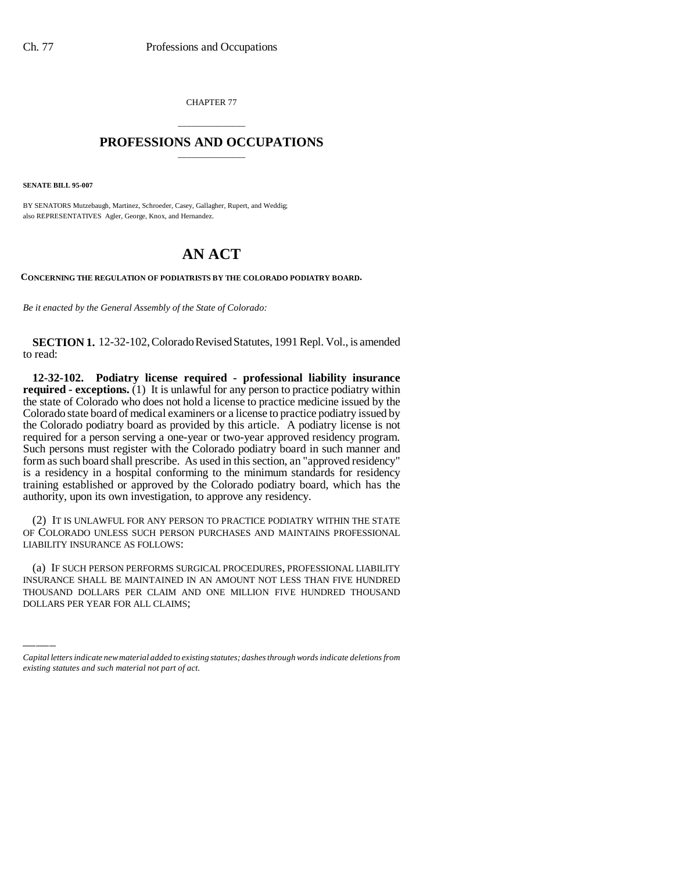CHAPTER 77

## \_\_\_\_\_\_\_\_\_\_\_\_\_\_\_ **PROFESSIONS AND OCCUPATIONS** \_\_\_\_\_\_\_\_\_\_\_\_\_\_\_

**SENATE BILL 95-007**

BY SENATORS Mutzebaugh, Martinez, Schroeder, Casey, Gallagher, Rupert, and Weddig; also REPRESENTATIVES Agler, George, Knox, and Hernandez.

## **AN ACT**

**CONCERNING THE REGULATION OF PODIATRISTS BY THE COLORADO PODIATRY BOARD.**

*Be it enacted by the General Assembly of the State of Colorado:*

**SECTION 1.** 12-32-102, Colorado Revised Statutes, 1991 Repl. Vol., is amended to read:

**12-32-102. Podiatry license required - professional liability insurance required - exceptions.** (1) It is unlawful for any person to practice podiatry within the state of Colorado who does not hold a license to practice medicine issued by the Colorado state board of medical examiners or a license to practice podiatry issued by the Colorado podiatry board as provided by this article. A podiatry license is not required for a person serving a one-year or two-year approved residency program. Such persons must register with the Colorado podiatry board in such manner and form as such board shall prescribe. As used in this section, an "approved residency" is a residency in a hospital conforming to the minimum standards for residency training established or approved by the Colorado podiatry board, which has the authority, upon its own investigation, to approve any residency.

(2) IT IS UNLAWFUL FOR ANY PERSON TO PRACTICE PODIATRY WITHIN THE STATE OF COLORADO UNLESS SUCH PERSON PURCHASES AND MAINTAINS PROFESSIONAL LIABILITY INSURANCE AS FOLLOWS:

(a) IF SUCH PERSON PERFORMS SURGICAL PROCEDURES, PROFESSIONAL LIABILITY INSURANCE SHALL BE MAINTAINED IN AN AMOUNT NOT LESS THAN FIVE HUNDRED THOUSAND DOLLARS PER CLAIM AND ONE MILLION FIVE HUNDRED THOUSAND DOLLARS PER YEAR FOR ALL CLAIMS;

*Capital letters indicate new material added to existing statutes; dashes through words indicate deletions from existing statutes and such material not part of act.*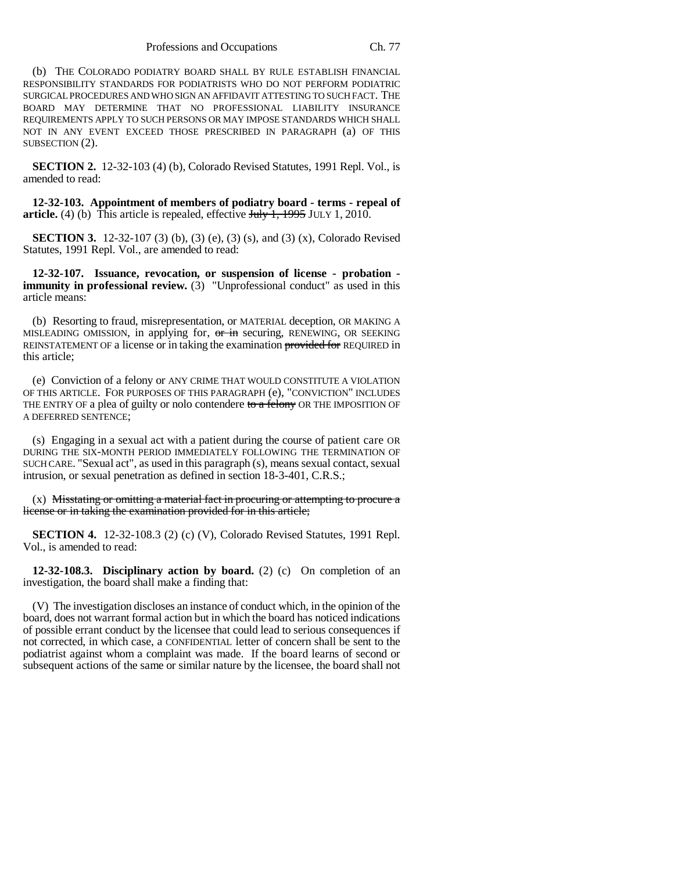(b) THE COLORADO PODIATRY BOARD SHALL BY RULE ESTABLISH FINANCIAL RESPONSIBILITY STANDARDS FOR PODIATRISTS WHO DO NOT PERFORM PODIATRIC SURGICAL PROCEDURES AND WHO SIGN AN AFFIDAVIT ATTESTING TO SUCH FACT. THE BOARD MAY DETERMINE THAT NO PROFESSIONAL LIABILITY INSURANCE REQUIREMENTS APPLY TO SUCH PERSONS OR MAY IMPOSE STANDARDS WHICH SHALL NOT IN ANY EVENT EXCEED THOSE PRESCRIBED IN PARAGRAPH (a) OF THIS SUBSECTION (2).

**SECTION 2.** 12-32-103 (4) (b), Colorado Revised Statutes, 1991 Repl. Vol., is amended to read:

**12-32-103. Appointment of members of podiatry board - terms - repeal of article.** (4) (b) This article is repealed, effective July 1, 1995 JULY 1, 2010.

**SECTION 3.** 12-32-107 (3) (b), (3) (e), (3) (s), and (3) (x), Colorado Revised Statutes, 1991 Repl. Vol., are amended to read:

**12-32-107. Issuance, revocation, or suspension of license - probation immunity in professional review.** (3) "Unprofessional conduct" as used in this article means:

(b) Resorting to fraud, misrepresentation, or MATERIAL deception, OR MAKING A MISLEADING OMISSION, in applying for, or in securing, RENEWING, OR SEEKING REINSTATEMENT OF a license or in taking the examination provided for REQUIRED in this article;

(e) Conviction of a felony or ANY CRIME THAT WOULD CONSTITUTE A VIOLATION OF THIS ARTICLE. FOR PURPOSES OF THIS PARAGRAPH (e), "CONVICTION" INCLUDES THE ENTRY OF a plea of guilty or nolo contendere to a felony OR THE IMPOSITION OF A DEFERRED SENTENCE;

(s) Engaging in a sexual act with a patient during the course of patient care OR DURING THE SIX-MONTH PERIOD IMMEDIATELY FOLLOWING THE TERMINATION OF SUCH CARE. "Sexual act", as used in this paragraph (s), means sexual contact, sexual intrusion, or sexual penetration as defined in section 18-3-401, C.R.S.;

 $(x)$  Misstating or omitting a material fact in procuring or attempting to procure a license or in taking the examination provided for in this article;

**SECTION 4.** 12-32-108.3 (2) (c) (V), Colorado Revised Statutes, 1991 Repl. Vol., is amended to read:

**12-32-108.3. Disciplinary action by board.** (2) (c) On completion of an investigation, the board shall make a finding that:

(V) The investigation discloses an instance of conduct which, in the opinion of the board, does not warrant formal action but in which the board has noticed indications of possible errant conduct by the licensee that could lead to serious consequences if not corrected, in which case, a CONFIDENTIAL letter of concern shall be sent to the podiatrist against whom a complaint was made. If the board learns of second or subsequent actions of the same or similar nature by the licensee, the board shall not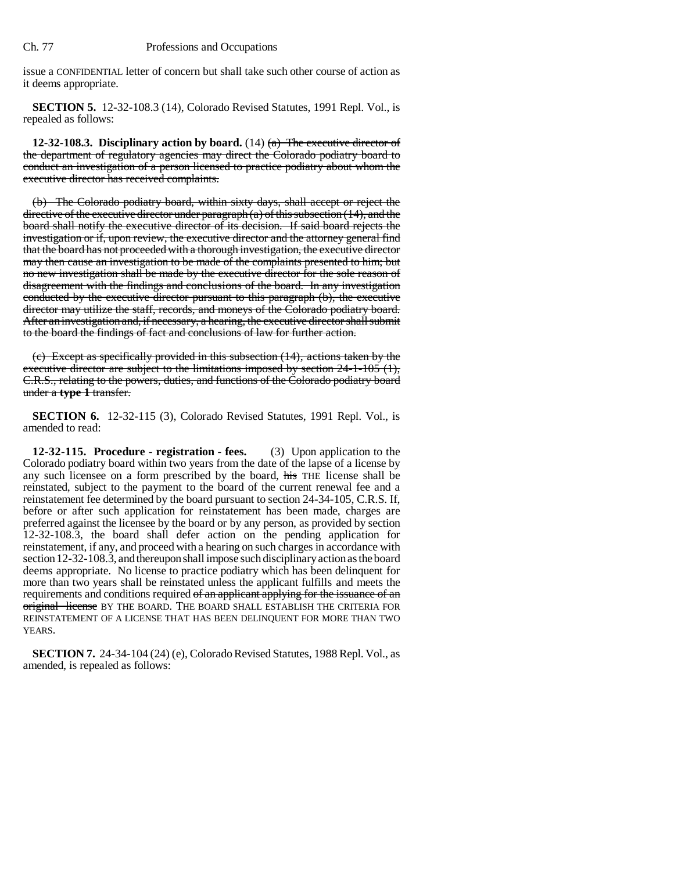issue a CONFIDENTIAL letter of concern but shall take such other course of action as it deems appropriate.

**SECTION 5.** 12-32-108.3 (14), Colorado Revised Statutes, 1991 Repl. Vol., is repealed as follows:

**12-32-108.3. Disciplinary action by board.** (14)  $(a)$  The executive director of the department of regulatory agencies may direct the Colorado podiatry board to conduct an investigation of a person licensed to practice podiatry about whom the executive director has received complaints.

(b) The Colorado podiatry board, within sixty days, shall accept or reject the directive of the executive director under paragraph  $(a)$  of this subsection (14), and the board shall notify the executive director of its decision. If said board rejects the investigation or if, upon review, the executive director and the attorney general find that the board has not proceeded with a thorough investigation, the executive director may then cause an investigation to be made of the complaints presented to him; but no new investigation shall be made by the executive director for the sole reason of disagreement with the findings and conclusions of the board. In any investigation conducted by the executive director pursuant to this paragraph (b), the executive director may utilize the staff, records, and moneys of the Colorado podiatry board. After an investigation and, if necessary, a hearing, the executive director shall submit to the board the findings of fact and conclusions of law for further action.

(c) Except as specifically provided in this subsection (14), actions taken by the executive director are subject to the limitations imposed by section 24-1-105 (1), C.R.S., relating to the powers, duties, and functions of the Colorado podiatry board under a **type 1** transfer.

**SECTION 6.** 12-32-115 (3), Colorado Revised Statutes, 1991 Repl. Vol., is amended to read:

**12-32-115. Procedure - registration - fees.** (3) Upon application to the Colorado podiatry board within two years from the date of the lapse of a license by any such licensee on a form prescribed by the board, his THE license shall be reinstated, subject to the payment to the board of the current renewal fee and a reinstatement fee determined by the board pursuant to section 24-34-105, C.R.S. If, before or after such application for reinstatement has been made, charges are preferred against the licensee by the board or by any person, as provided by section 12-32-108.3, the board shall defer action on the pending application for reinstatement, if any, and proceed with a hearing on such charges in accordance with section 12-32-108.3, and thereupon shall impose such disciplinary action as the board deems appropriate. No license to practice podiatry which has been delinquent for more than two years shall be reinstated unless the applicant fulfills and meets the requirements and conditions required of an applicant applying for the issuance of an original license BY THE BOARD. THE BOARD SHALL ESTABLISH THE CRITERIA FOR REINSTATEMENT OF A LICENSE THAT HAS BEEN DELINQUENT FOR MORE THAN TWO YEARS.

**SECTION 7.** 24-34-104 (24) (e), Colorado Revised Statutes, 1988 Repl. Vol., as amended, is repealed as follows: